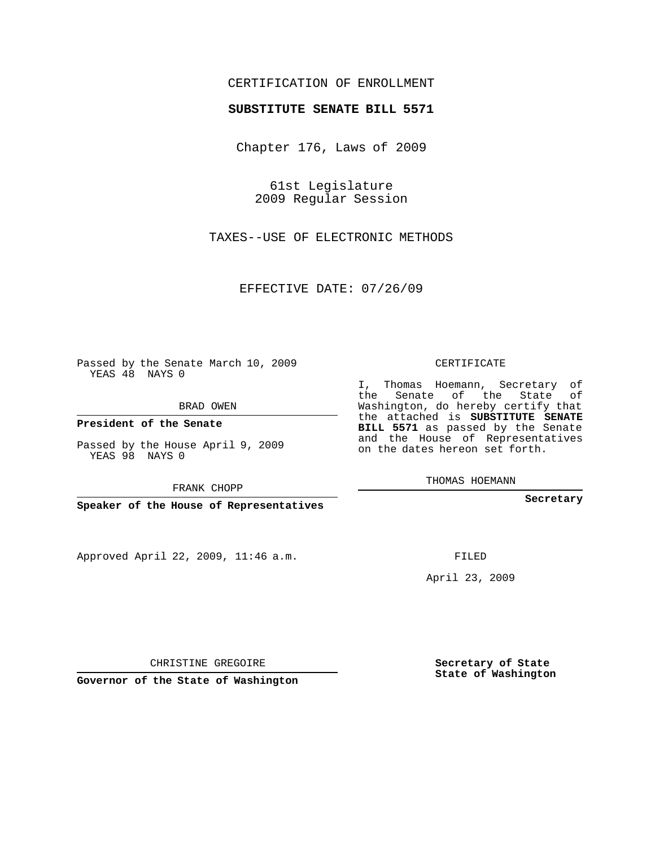## CERTIFICATION OF ENROLLMENT

## **SUBSTITUTE SENATE BILL 5571**

Chapter 176, Laws of 2009

61st Legislature 2009 Regular Session

TAXES--USE OF ELECTRONIC METHODS

EFFECTIVE DATE: 07/26/09

Passed by the Senate March 10, 2009 YEAS 48 NAYS 0

BRAD OWEN

**President of the Senate**

Passed by the House April 9, 2009 YEAS 98 NAYS 0

FRANK CHOPP

**Speaker of the House of Representatives**

Approved April 22, 2009, 11:46 a.m.

CERTIFICATE

I, Thomas Hoemann, Secretary of the Senate of the State of Washington, do hereby certify that the attached is **SUBSTITUTE SENATE BILL 5571** as passed by the Senate and the House of Representatives on the dates hereon set forth.

THOMAS HOEMANN

**Secretary**

FILED

April 23, 2009

**Secretary of State State of Washington**

CHRISTINE GREGOIRE

**Governor of the State of Washington**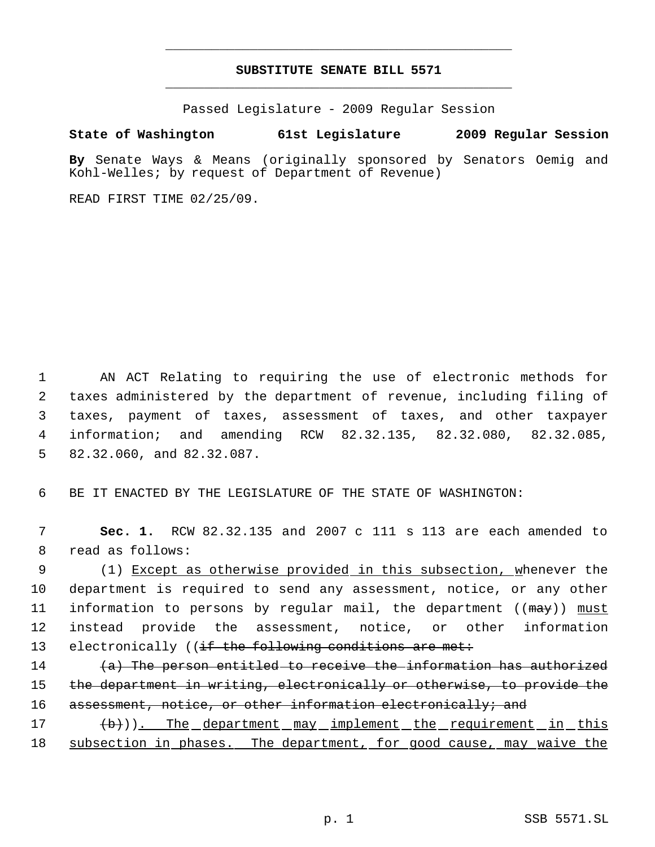## **SUBSTITUTE SENATE BILL 5571** \_\_\_\_\_\_\_\_\_\_\_\_\_\_\_\_\_\_\_\_\_\_\_\_\_\_\_\_\_\_\_\_\_\_\_\_\_\_\_\_\_\_\_\_\_

\_\_\_\_\_\_\_\_\_\_\_\_\_\_\_\_\_\_\_\_\_\_\_\_\_\_\_\_\_\_\_\_\_\_\_\_\_\_\_\_\_\_\_\_\_

Passed Legislature - 2009 Regular Session

## **State of Washington 61st Legislature 2009 Regular Session**

**By** Senate Ways & Means (originally sponsored by Senators Oemig and Kohl-Welles; by request of Department of Revenue)

READ FIRST TIME 02/25/09.

 AN ACT Relating to requiring the use of electronic methods for taxes administered by the department of revenue, including filing of taxes, payment of taxes, assessment of taxes, and other taxpayer information; and amending RCW 82.32.135, 82.32.080, 82.32.085, 82.32.060, and 82.32.087.

6 BE IT ENACTED BY THE LEGISLATURE OF THE STATE OF WASHINGTON:

 7 **Sec. 1.** RCW 82.32.135 and 2007 c 111 s 113 are each amended to 8 read as follows:

9 (1) Except as otherwise provided in this subsection, whenever the 10 department is required to send any assessment, notice, or any other 11 information to persons by regular mail, the department ((may)) must 12 instead provide the assessment, notice, or other information 13 electronically ((if the following conditions are met:

14  $(a)$  The person entitled to receive the information has authorized 15 the department in writing, electronically or otherwise, to provide the 16 assessment, notice, or other information electronically; and

17  $(\frac{b}{b})$ ). The department may implement the requirement in this 18 subsection in phases. The department, for good cause, may waive the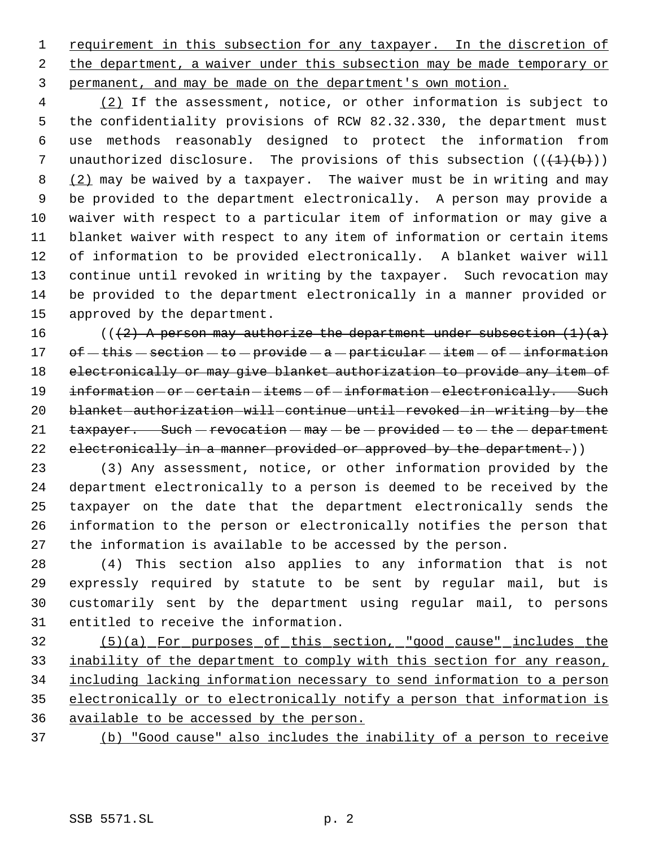1 requirement in this subsection for any taxpayer. In the discretion of 2 the department, a waiver under this subsection may be made temporary or permanent, and may be made on the department's own motion.

4 (2) If the assessment, notice, or other information is subject to the confidentiality provisions of RCW 82.32.330, the department must use methods reasonably designed to protect the information from 7 unauthorized disclosure. The provisions of this subsection  $((+1)+(b))$ 8 (2) may be waived by a taxpayer. The waiver must be in writing and may be provided to the department electronically. A person may provide a waiver with respect to a particular item of information or may give a blanket waiver with respect to any item of information or certain items of information to be provided electronically. A blanket waiver will continue until revoked in writing by the taxpayer. Such revocation may be provided to the department electronically in a manner provided or approved by the department.

16 (( $(2)$  A person may authorize the department under subsection  $(1)(a)$ 17 of  $-\frac{this}{s}$  section  $-\frac{te}{rovide}$  a  $-\frac{particular}{ttem}$  of  $-\frac{intermutation}{s}$ 18 electronically or may give blanket authorization to provide any item of 19 information - or - certain - items - of - information - electronically. Such 20 blanket-authorization-will-continue-until-revoked-in-writing-by-the  $\tanctan 21$  taxpayer. Such - revocation - may - be - provided - to - the - department 22 electronically in a manner provided or approved by the department.))

 (3) Any assessment, notice, or other information provided by the department electronically to a person is deemed to be received by the taxpayer on the date that the department electronically sends the information to the person or electronically notifies the person that the information is available to be accessed by the person.

 (4) This section also applies to any information that is not expressly required by statute to be sent by regular mail, but is customarily sent by the department using regular mail, to persons entitled to receive the information.

 (5)(a) For purposes of this section, "good cause" includes the 33 inability of the department to comply with this section for any reason, including lacking information necessary to send information to a person electronically or to electronically notify a person that information is available to be accessed by the person.

(b) "Good cause" also includes the inability of a person to receive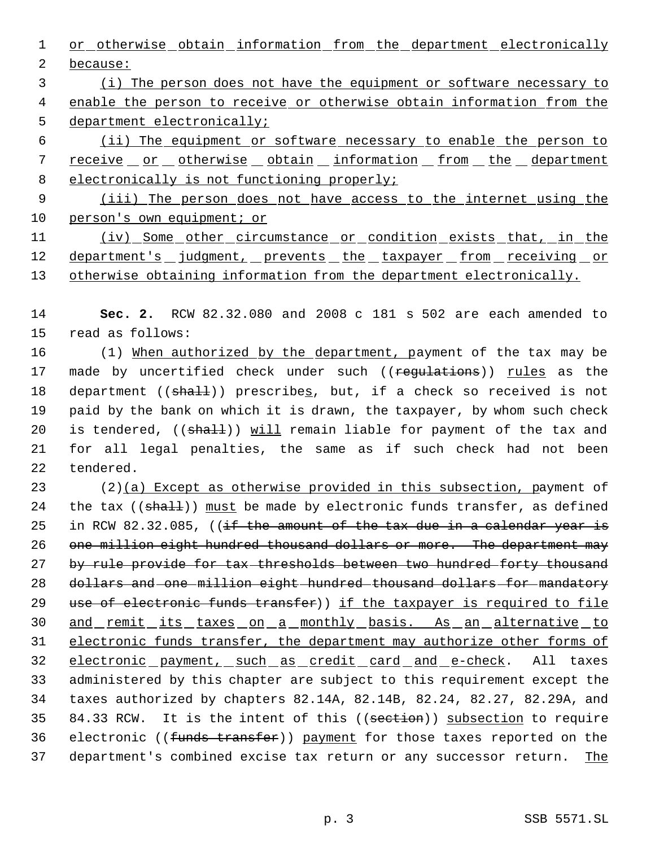1 or otherwise obtain information from the department electronically 2 because:

 3 (i) The person does not have the equipment or software necessary to 4 enable the person to receive or otherwise obtain information from the 5 department electronically;

 6 (ii) The equipment or software necessary to enable the person to 7 receive or otherwise obtain information from the department 8 electronically is not functioning properly;

 9 (iii) The person does not have access to the internet using the 10 person's own equipment; or

11 (iv) Some other circumstance or condition exists that, in the 12 department's judgment, prevents the taxpayer from receiving or 13 otherwise obtaining information from the department electronically.

14 **Sec. 2.** RCW 82.32.080 and 2008 c 181 s 502 are each amended to 15 read as follows:

16 (1) When authorized by the department, payment of the tax may be 17 made by uncertified check under such ((regulations)) rules as the 18 department ((shall)) prescribes, but, if a check so received is not 19 paid by the bank on which it is drawn, the taxpayer, by whom such check 20 is tendered, ((shall)) will remain liable for payment of the tax and 21 for all legal penalties, the same as if such check had not been 22 tendered.

 $23$  (2)(a) Except as otherwise provided in this subsection, payment of 24 the tax  $((shath))$  must be made by electronic funds transfer, as defined 25 in RCW 82.32.085, ((if the amount of the tax due in a calendar year is 26 one million eight hundred thousand dollars or more. The department may 27 by rule provide for tax-thresholds between two hundred forty thousand 28 dollars and one million eight hundred thousand dollars for mandatory 29 use of electronic funds transfer)) if the taxpayer is required to file 30 and remit its taxes on a monthly basis. As an alternative to 31 electronic funds transfer, the department may authorize other forms of 32 electronic payment, such as credit card and e-check. All taxes 33 administered by this chapter are subject to this requirement except the 34 taxes authorized by chapters 82.14A, 82.14B, 82.24, 82.27, 82.29A, and 35 84.33 RCW. It is the intent of this ((section)) subsection to require 36 electronic ((funds transfer)) payment for those taxes reported on the 37 department's combined excise tax return or any successor return. The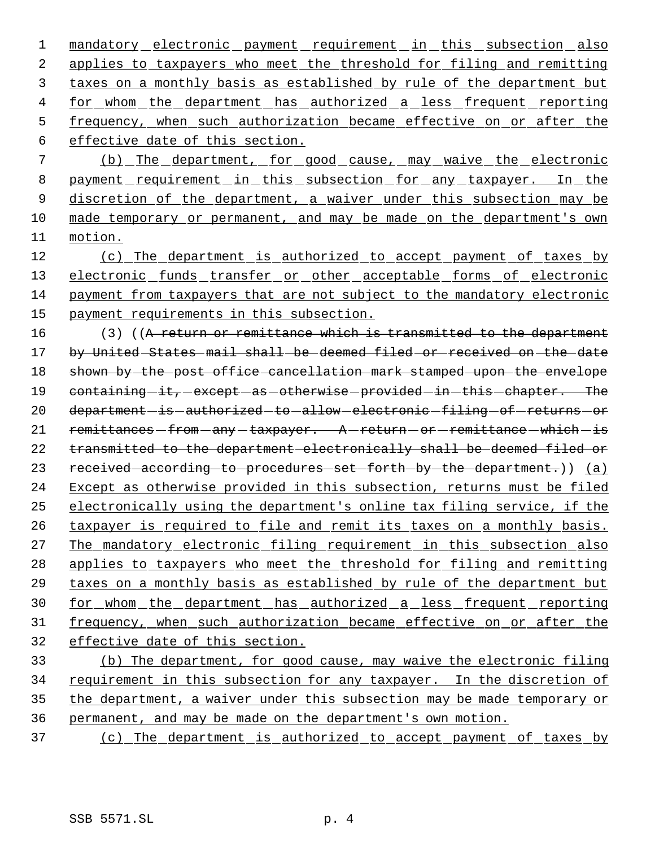1 mandatory electronic payment requirement in this subsection also applies to taxpayers who meet the threshold for filing and remitting taxes on a monthly basis as established by rule of the department but 4 for whom the department has authorized a less frequent reporting frequency, when such authorization became effective on or after the effective date of this section.

 7 (b) The department, for good cause, may waive the electronic 8 payment requirement in this subsection for any taxpayer. In the 9 discretion of the department, a waiver under this subsection may be 10 made temporary or permanent, and may be made on the department's own 11 motion.

 (c) The department is authorized to accept payment of taxes by 13 electronic funds transfer or other acceptable forms of electronic payment from taxpayers that are not subject to the mandatory electronic payment requirements in this subsection.

16 (3) ((A return or remittance which is transmitted to the department 17 by United States mail shall be deemed filed or received on the date 18 shown by the post office cancellation mark stamped upon the envelope 19 containing -it, except as otherwise provided in this chapter. The 20 department-is-authorized-to-allow-electronic-filing-of-returns-or 21 remittances - from - any - taxpayer. A - return - or - remittance - which - is 22 transmitted to the department electronically shall be deemed filed or 23 received according to procedures set forth by the department.) (a) 24 Except as otherwise provided in this subsection, returns must be filed 25 electronically using the department's online tax filing service, if the 26 taxpayer is required to file and remit its taxes on a monthly basis. 27 The mandatory electronic filing requirement in this subsection also 28 applies to taxpayers who meet the threshold for filing and remitting 29 taxes on a monthly basis as established by rule of the department but 30 for whom the department has authorized a less frequent reporting 31 frequency, when such authorization became effective on or after the 32 effective date of this section.

33 (b) The department, for good cause, may waive the electronic filing 34 requirement in this subsection for any taxpayer. In the discretion of 35 the department, a waiver under this subsection may be made temporary or 36 permanent, and may be made on the department's own motion.

37 (c) The department is authorized to accept payment of taxes by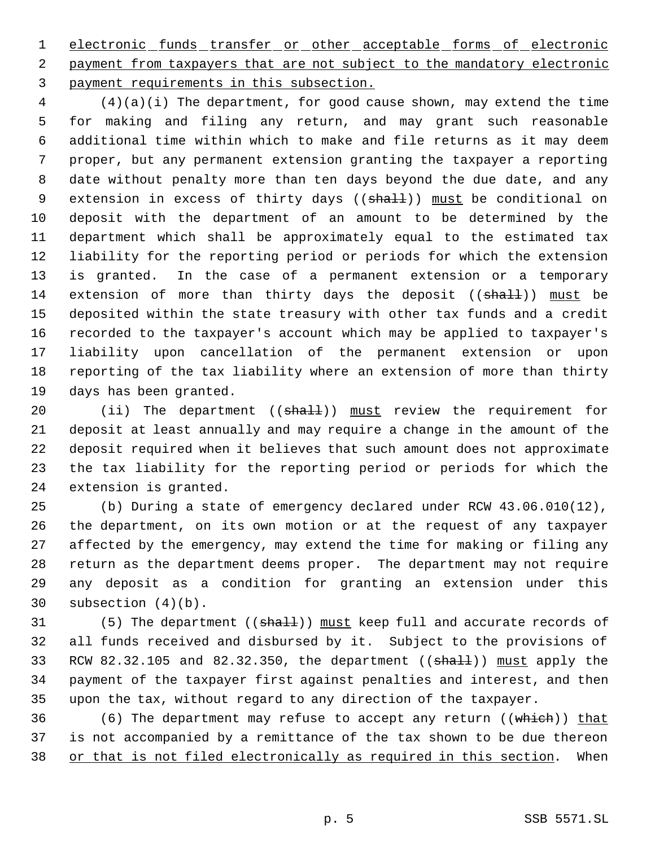1 electronic funds transfer or other acceptable forms of electronic 2 payment from taxpayers that are not subject to the mandatory electronic payment requirements in this subsection.

 (4)(a)(i) The department, for good cause shown, may extend the time for making and filing any return, and may grant such reasonable additional time within which to make and file returns as it may deem proper, but any permanent extension granting the taxpayer a reporting date without penalty more than ten days beyond the due date, and any 9 extension in excess of thirty days ((shall)) must be conditional on deposit with the department of an amount to be determined by the department which shall be approximately equal to the estimated tax liability for the reporting period or periods for which the extension is granted. In the case of a permanent extension or a temporary 14 extension of more than thirty days the deposit ((shall)) must be deposited within the state treasury with other tax funds and a credit recorded to the taxpayer's account which may be applied to taxpayer's liability upon cancellation of the permanent extension or upon reporting of the tax liability where an extension of more than thirty days has been granted.

20 (ii) The department ((shall)) must review the requirement for deposit at least annually and may require a change in the amount of the deposit required when it believes that such amount does not approximate the tax liability for the reporting period or periods for which the extension is granted.

 (b) During a state of emergency declared under RCW 43.06.010(12), the department, on its own motion or at the request of any taxpayer affected by the emergency, may extend the time for making or filing any return as the department deems proper. The department may not require any deposit as a condition for granting an extension under this subsection (4)(b).

31 (5) The department ((shall)) must keep full and accurate records of all funds received and disbursed by it. Subject to the provisions of 33 RCW 82.32.105 and 82.32.350, the department ((shall)) must apply the payment of the taxpayer first against penalties and interest, and then upon the tax, without regard to any direction of the taxpayer.

36 (6) The department may refuse to accept any return ((which)) that is not accompanied by a remittance of the tax shown to be due thereon 38 or that is not filed electronically as required in this section. When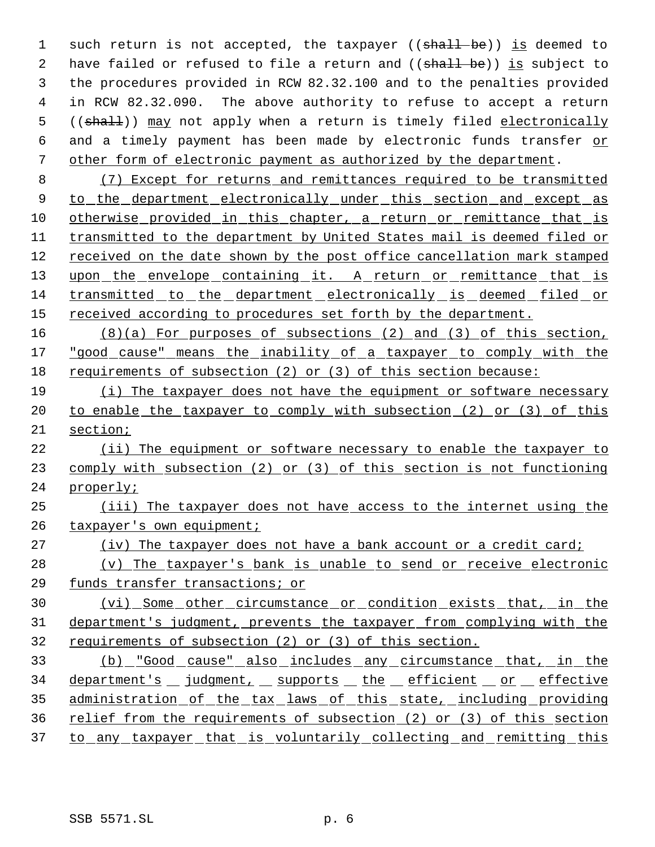1 such return is not accepted, the taxpayer ((shall be)) is deemed to 2 have failed or refused to file a return and ((shall be)) is subject to the procedures provided in RCW 82.32.100 and to the penalties provided in RCW 82.32.090. The above authority to refuse to accept a return 5 ((shall)) may not apply when a return is timely filed electronically 6 and a timely payment has been made by electronic funds transfer or other form of electronic payment as authorized by the department.

 (7) Except for returns and remittances required to be transmitted 9 to the department electronically under this section and except as 10 otherwise provided in this chapter, a return or remittance that is transmitted to the department by United States mail is deemed filed or received on the date shown by the post office cancellation mark stamped 13 upon the envelope containing it. A return or remittance that is transmitted to the department electronically is deemed filed or 15 received according to procedures set forth by the department.

 (8)(a) For purposes of subsections (2) and (3) of this section, "good cause" means the inability of a taxpayer to comply with the requirements of subsection (2) or (3) of this section because:

 (i) The taxpayer does not have the equipment or software necessary 20 to enable the taxpayer to comply with subsection (2) or (3) of this section;

 (ii) The equipment or software necessary to enable the taxpayer to 23 comply with subsection (2) or (3) of this section is not functioning properly;

 (iii) The taxpayer does not have access to the internet using the 26 taxpayer's own equipment;

(iv) The taxpayer does not have a bank account or a credit card;

 (v) The taxpayer's bank is unable to send or receive electronic funds transfer transactions; or

 (vi) Some other circumstance or condition exists that, in the department's judgment, prevents the taxpayer from complying with the requirements of subsection (2) or (3) of this section.

 (b) "Good cause" also includes any circumstance that, in the 34 department's judgment, supports the efficient or effective 35 administration of the tax laws of this state, including providing relief from the requirements of subsection (2) or (3) of this section 37 to any taxpayer that is voluntarily collecting and remitting this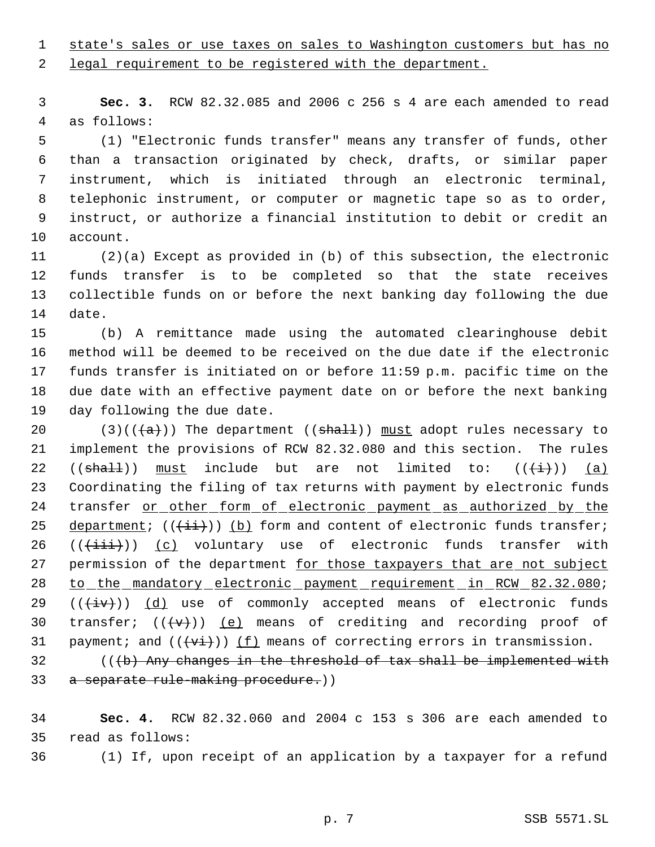state's sales or use taxes on sales to Washington customers but has no

legal requirement to be registered with the department.

 **Sec. 3.** RCW 82.32.085 and 2006 c 256 s 4 are each amended to read as follows:

 (1) "Electronic funds transfer" means any transfer of funds, other than a transaction originated by check, drafts, or similar paper instrument, which is initiated through an electronic terminal, telephonic instrument, or computer or magnetic tape so as to order, instruct, or authorize a financial institution to debit or credit an account.

 (2)(a) Except as provided in (b) of this subsection, the electronic funds transfer is to be completed so that the state receives collectible funds on or before the next banking day following the due date.

 (b) A remittance made using the automated clearinghouse debit method will be deemed to be received on the due date if the electronic funds transfer is initiated on or before 11:59 p.m. pacific time on the due date with an effective payment date on or before the next banking day following the due date.

20 (3)(( $\left(\frac{a}{a}\right)$ ) The department (( $\frac{b}{a+1}$ )) must adopt rules necessary to implement the provisions of RCW 82.32.080 and this section. The rules 22 (( $\frac{\pi}{2}$ ) must include but are not limited to: ( $(\frac{\pi}{2})$ ) (a) Coordinating the filing of tax returns with payment by electronic funds transfer or other form of electronic payment as authorized by the 25 department;  $((\pm i))$  (b) form and content of electronic funds transfer;  $((\overrightarrow{init}))$   $(c)$  voluntary use of electronic funds transfer with 27 permission of the department for those taxpayers that are not subject 28 to the mandatory electronic payment requirement in RCW 82.32.080;  $((+iv))$   $(d)$  use of commonly accepted means of electronic funds 30 transfer;  $((\langle v\rangle))$  (e) means of crediting and recording proof of 31 payment; and  $((\overrightarrow{vt}))$  (f) means of correcting errors in transmission.

 (( $\langle b \rangle$ ) Any changes in the threshold of tax shall be implemented with 33 a separate rule-making procedure.))

 **Sec. 4.** RCW 82.32.060 and 2004 c 153 s 306 are each amended to read as follows:

(1) If, upon receipt of an application by a taxpayer for a refund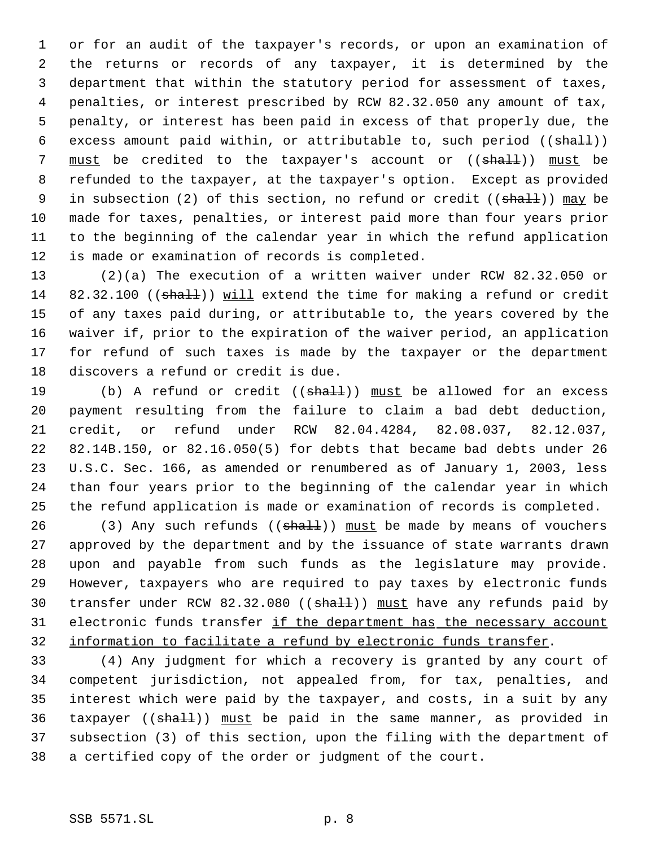or for an audit of the taxpayer's records, or upon an examination of the returns or records of any taxpayer, it is determined by the department that within the statutory period for assessment of taxes, penalties, or interest prescribed by RCW 82.32.050 any amount of tax, penalty, or interest has been paid in excess of that properly due, the 6 excess amount paid within, or attributable to, such period  $((shall))$ 7 must be credited to the taxpayer's account or ((shall)) must be refunded to the taxpayer, at the taxpayer's option. Except as provided 9 in subsection (2) of this section, no refund or credit ((shall)) may be made for taxes, penalties, or interest paid more than four years prior to the beginning of the calendar year in which the refund application is made or examination of records is completed.

 (2)(a) The execution of a written waiver under RCW 82.32.050 or 14 82.32.100 ((shall)) will extend the time for making a refund or credit of any taxes paid during, or attributable to, the years covered by the waiver if, prior to the expiration of the waiver period, an application for refund of such taxes is made by the taxpayer or the department discovers a refund or credit is due.

19 (b) A refund or credit ((shall)) must be allowed for an excess payment resulting from the failure to claim a bad debt deduction, credit, or refund under RCW 82.04.4284, 82.08.037, 82.12.037, 82.14B.150, or 82.16.050(5) for debts that became bad debts under 26 U.S.C. Sec. 166, as amended or renumbered as of January 1, 2003, less than four years prior to the beginning of the calendar year in which the refund application is made or examination of records is completed.

26 (3) Any such refunds  $((shath)$ ) must be made by means of vouchers approved by the department and by the issuance of state warrants drawn upon and payable from such funds as the legislature may provide. However, taxpayers who are required to pay taxes by electronic funds 30 transfer under RCW 82.32.080 ((shall)) must have any refunds paid by 31 electronic funds transfer if the department has the necessary account information to facilitate a refund by electronic funds transfer.

 (4) Any judgment for which a recovery is granted by any court of competent jurisdiction, not appealed from, for tax, penalties, and interest which were paid by the taxpayer, and costs, in a suit by any 36 taxpayer  $((\text{sha11}))$  must be paid in the same manner, as provided in subsection (3) of this section, upon the filing with the department of a certified copy of the order or judgment of the court.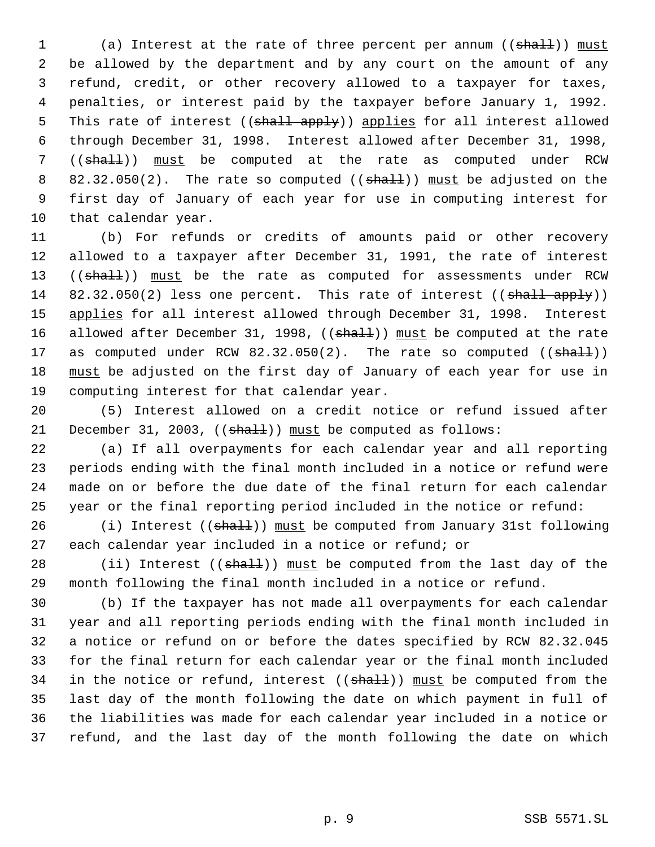1 (a) Interest at the rate of three percent per annum ((shall)) must be allowed by the department and by any court on the amount of any refund, credit, or other recovery allowed to a taxpayer for taxes, penalties, or interest paid by the taxpayer before January 1, 1992. 5 This rate of interest ((shall apply)) applies for all interest allowed through December 31, 1998. Interest allowed after December 31, 1998, 7 ((shall)) must be computed at the rate as computed under RCW 8 82.32.050(2). The rate so computed (( $sha11$ )) must be adjusted on the first day of January of each year for use in computing interest for that calendar year.

 (b) For refunds or credits of amounts paid or other recovery allowed to a taxpayer after December 31, 1991, the rate of interest 13 ((shall)) must be the rate as computed for assessments under RCW 14  $82.32.050(2)$  less one percent. This rate of interest (( $\frac{1}{3}$ hall apply)) 15 applies for all interest allowed through December 31, 1998. Interest 16 allowed after December 31, 1998, ((shall)) must be computed at the rate 17 as computed under RCW  $82.32.050(2)$ . The rate so computed  $((\text{shall}))$ 18 must be adjusted on the first day of January of each year for use in computing interest for that calendar year.

 (5) Interest allowed on a credit notice or refund issued after 21 December 31, 2003,  $((sha11))$  must be computed as follows:

 (a) If all overpayments for each calendar year and all reporting periods ending with the final month included in a notice or refund were made on or before the due date of the final return for each calendar year or the final reporting period included in the notice or refund:

26 (i) Interest ((shall)) must be computed from January 31st following each calendar year included in a notice or refund; or

28 (ii) Interest ((shall)) must be computed from the last day of the month following the final month included in a notice or refund.

 (b) If the taxpayer has not made all overpayments for each calendar year and all reporting periods ending with the final month included in a notice or refund on or before the dates specified by RCW 82.32.045 for the final return for each calendar year or the final month included 34 in the notice or refund, interest  $((shall))$  must be computed from the last day of the month following the date on which payment in full of the liabilities was made for each calendar year included in a notice or refund, and the last day of the month following the date on which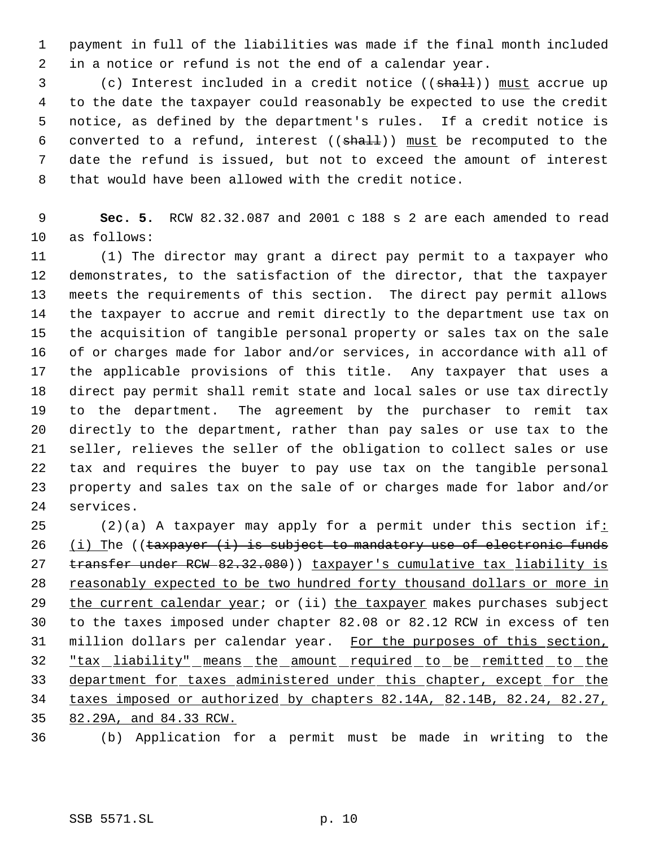payment in full of the liabilities was made if the final month included in a notice or refund is not the end of a calendar year.

3 (c) Interest included in a credit notice ((shall)) must accrue up to the date the taxpayer could reasonably be expected to use the credit notice, as defined by the department's rules. If a credit notice is 6 converted to a refund, interest  $((shall))$  must be recomputed to the date the refund is issued, but not to exceed the amount of interest that would have been allowed with the credit notice.

 **Sec. 5.** RCW 82.32.087 and 2001 c 188 s 2 are each amended to read as follows:

 (1) The director may grant a direct pay permit to a taxpayer who demonstrates, to the satisfaction of the director, that the taxpayer meets the requirements of this section. The direct pay permit allows the taxpayer to accrue and remit directly to the department use tax on the acquisition of tangible personal property or sales tax on the sale of or charges made for labor and/or services, in accordance with all of the applicable provisions of this title. Any taxpayer that uses a direct pay permit shall remit state and local sales or use tax directly to the department. The agreement by the purchaser to remit tax directly to the department, rather than pay sales or use tax to the seller, relieves the seller of the obligation to collect sales or use tax and requires the buyer to pay use tax on the tangible personal property and sales tax on the sale of or charges made for labor and/or services.

25 (2)(a) A taxpayer may apply for a permit under this section if: 26 (i) The (( $\frac{26}{3}$  ( $\frac{1}{2}$ ) is subject to mandatory use of electronic funds 27 transfer under RCW 82.32.080) baxpayer's cumulative tax liability is reasonably expected to be two hundred forty thousand dollars or more in 29 the current calendar year; or (ii) the taxpayer makes purchases subject to the taxes imposed under chapter 82.08 or 82.12 RCW in excess of ten 31 million dollars per calendar year. For the purposes of this section, "tax liability" means the amount required to be remitted to the 33 department for taxes administered under this chapter, except for the taxes imposed or authorized by chapters 82.14A, 82.14B, 82.24, 82.27, 82.29A, and 84.33 RCW.

(b) Application for a permit must be made in writing to the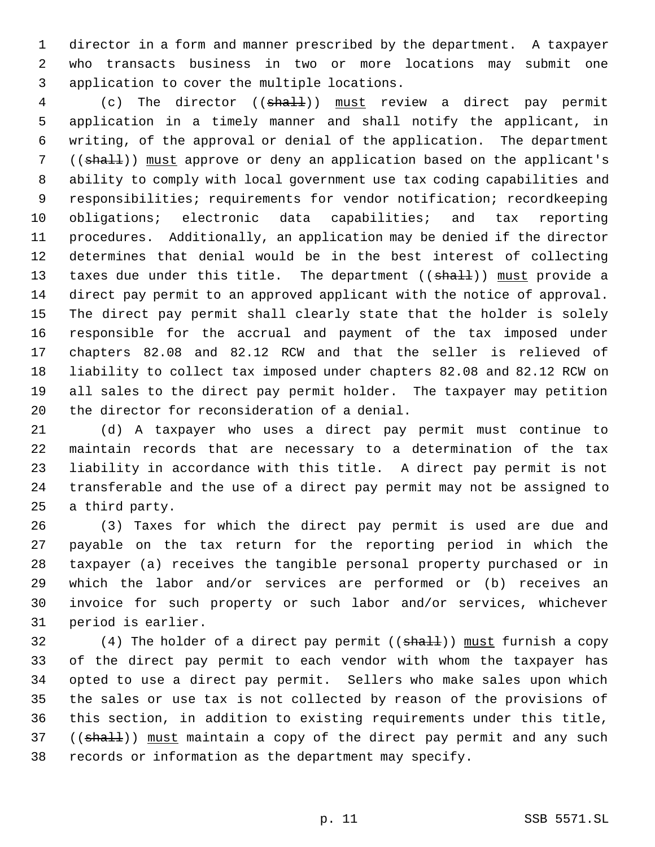director in a form and manner prescribed by the department. A taxpayer who transacts business in two or more locations may submit one application to cover the multiple locations.

4 (c) The director ((shall)) must review a direct pay permit application in a timely manner and shall notify the applicant, in writing, of the approval or denial of the application. The department 7 ((shall)) must approve or deny an application based on the applicant's ability to comply with local government use tax coding capabilities and responsibilities; requirements for vendor notification; recordkeeping obligations; electronic data capabilities; and tax reporting procedures. Additionally, an application may be denied if the director determines that denial would be in the best interest of collecting 13 taxes due under this title. The department ((shall)) must provide a direct pay permit to an approved applicant with the notice of approval. The direct pay permit shall clearly state that the holder is solely responsible for the accrual and payment of the tax imposed under chapters 82.08 and 82.12 RCW and that the seller is relieved of liability to collect tax imposed under chapters 82.08 and 82.12 RCW on all sales to the direct pay permit holder. The taxpayer may petition the director for reconsideration of a denial.

 (d) A taxpayer who uses a direct pay permit must continue to maintain records that are necessary to a determination of the tax liability in accordance with this title. A direct pay permit is not transferable and the use of a direct pay permit may not be assigned to a third party.

 (3) Taxes for which the direct pay permit is used are due and payable on the tax return for the reporting period in which the taxpayer (a) receives the tangible personal property purchased or in which the labor and/or services are performed or (b) receives an invoice for such property or such labor and/or services, whichever period is earlier.

32 (4) The holder of a direct pay permit ((shall)) must furnish a copy of the direct pay permit to each vendor with whom the taxpayer has opted to use a direct pay permit. Sellers who make sales upon which the sales or use tax is not collected by reason of the provisions of this section, in addition to existing requirements under this title, 37 ((shall)) must maintain a copy of the direct pay permit and any such records or information as the department may specify.